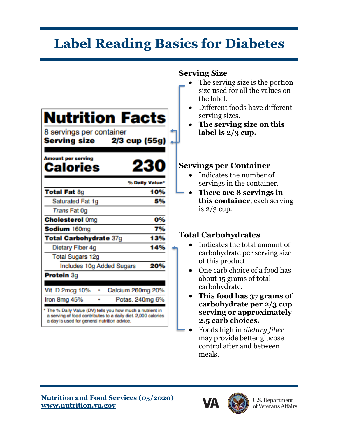## **Label Reading Basics for Diabetes**

| <b>Serving Size</b>                                                                                                                  |                                                                                                                               |
|--------------------------------------------------------------------------------------------------------------------------------------|-------------------------------------------------------------------------------------------------------------------------------|
|                                                                                                                                      | The serving size is the portion<br>size used for all the values on<br>the label.                                              |
| <b>Nutrition Facts</b><br>8 servings per container<br>2/3 cup (55g)<br><b>Serving size</b><br><b>Amount per serving</b>              | Different foods have different<br>serving sizes.<br>The serving size on this<br>label is $2/3$ cup.                           |
| Calories                                                                                                                             | <b>Servings per Container</b>                                                                                                 |
| % Daily Value*                                                                                                                       | Indicates the number of                                                                                                       |
| <b>Total Fat 8g</b><br>10%                                                                                                           | servings in the container.<br>There are 8 servings in                                                                         |
| Saturated Fat 1g<br>5%                                                                                                               | this container, each serving                                                                                                  |
| Trans Fat 0g                                                                                                                         | is $2/3$ cup.                                                                                                                 |
| 0%<br><b>Cholesterol Omg</b>                                                                                                         |                                                                                                                               |
| 7%<br>Sodium 160mg                                                                                                                   |                                                                                                                               |
| 13%<br>Total Carbohydrate 37g                                                                                                        | <b>Total Carbohydrates</b>                                                                                                    |
| 14%<br>Dietary Fiber 4g                                                                                                              | Indicates the total amount of                                                                                                 |
| <b>Total Sugars 12g</b>                                                                                                              | carbohydrate per serving size                                                                                                 |
| Includes 10g Added Sugars<br>20%                                                                                                     | of this product                                                                                                               |
| Protein 3g                                                                                                                           | One carb choice of a food has                                                                                                 |
| Calcium 260mg 20%<br>Vit. D 2mcg 10%<br>Potas. 240mg 6%<br>Iron 8mg 45%<br>* The % Daily Value (DV) tells you how much a nutrient in | about 15 grams of total<br>carbohydrate.<br>This food has 37 grams of<br>carbohydrate per 2/3 cup<br>serving or approximately |
| a serving of food contributes to a daily diet. 2,000 calories<br>a day is used for general nutrition advice.                         | 2.5 carb choices.                                                                                                             |

• Foods high in *dietary fiber* may provide better glucose control after and between meals.